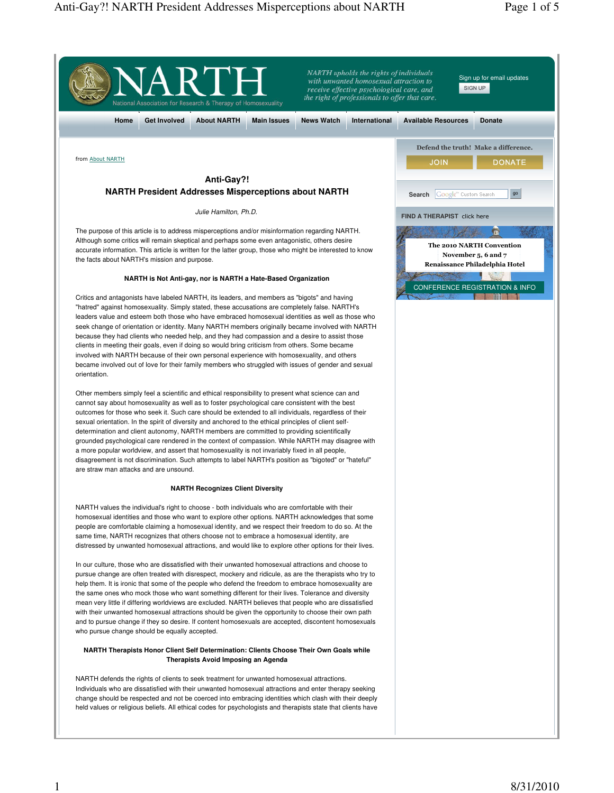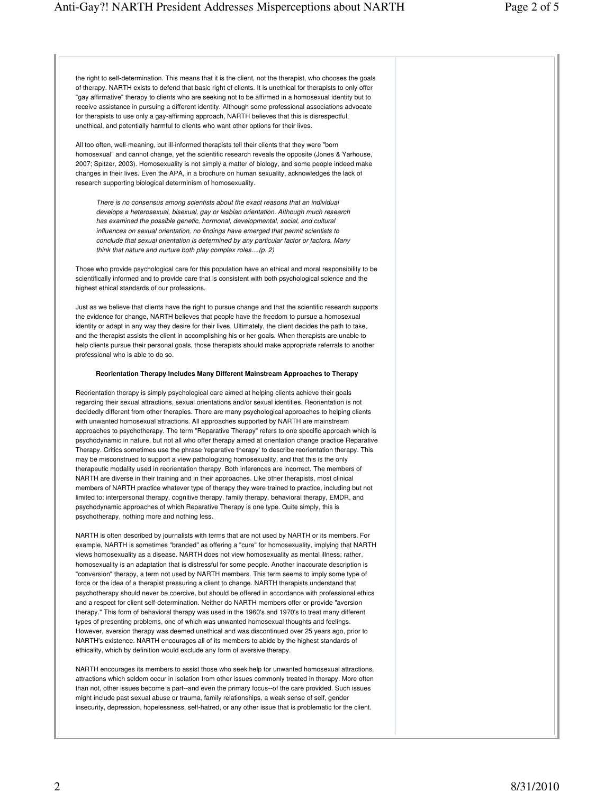the right to self-determination. This means that it is the client, not the therapist, who chooses the goals of therapy. NARTH exists to defend that basic right of clients. It is unethical for therapists to only offer "gay affirmative" therapy to clients who are seeking not to be affirmed in a homosexual identity but to receive assistance in pursuing a different identity. Although some professional associations advocate for therapists to use only a gay-affirming approach, NARTH believes that this is disrespectful, unethical, and potentially harmful to clients who want other options for their lives.

All too often, well-meaning, but ill-informed therapists tell their clients that they were "born homosexual" and cannot change, yet the scientific research reveals the opposite (Jones & Yarhouse, 2007; Spitzer, 2003). Homosexuality is not simply a matter of biology, and some people indeed make changes in their lives. Even the APA, in a brochure on human sexuality, acknowledges the lack of research supporting biological determinism of homosexuality.

There is no consensus among scientists about the exact reasons that an individual develops a heterosexual, bisexual, gay or lesbian orientation. Although much research has examined the possible genetic, hormonal, developmental, social, and cultural influences on sexual orientation, no findings have emerged that permit scientists to conclude that sexual orientation is determined by any particular factor or factors. Many think that nature and nurture both play complex roles....(p. 2)

Those who provide psychological care for this population have an ethical and moral responsibility to be scientifically informed and to provide care that is consistent with both psychological science and the highest ethical standards of our professions.

Just as we believe that clients have the right to pursue change and that the scientific research supports the evidence for change, NARTH believes that people have the freedom to pursue a homosexual identity or adapt in any way they desire for their lives. Ultimately, the client decides the path to take, and the therapist assists the client in accomplishing his or her goals. When therapists are unable to help clients pursue their personal goals, those therapists should make appropriate referrals to another professional who is able to do so.

# **Reorientation Therapy Includes Many Different Mainstream Approaches to Therapy**

Reorientation therapy is simply psychological care aimed at helping clients achieve their goals regarding their sexual attractions, sexual orientations and/or sexual identities. Reorientation is not decidedly different from other therapies. There are many psychological approaches to helping clients with unwanted homosexual attractions. All approaches supported by NARTH are mainstream approaches to psychotherapy. The term "Reparative Therapy" refers to one specific approach which is psychodynamic in nature, but not all who offer therapy aimed at orientation change practice Reparative Therapy. Critics sometimes use the phrase 'reparative therapy' to describe reorientation therapy. This may be misconstrued to support a view pathologizing homosexuality, and that this is the only therapeutic modality used in reorientation therapy. Both inferences are incorrect. The members of NARTH are diverse in their training and in their approaches. Like other therapists, most clinical members of NARTH practice whatever type of therapy they were trained to practice, including but not limited to: interpersonal therapy, cognitive therapy, family therapy, behavioral therapy, EMDR, and psychodynamic approaches of which Reparative Therapy is one type. Quite simply, this is psychotherapy, nothing more and nothing less.

NARTH is often described by journalists with terms that are not used by NARTH or its members. For example, NARTH is sometimes "branded" as offering a "cure" for homosexuality, implying that NARTH views homosexuality as a disease. NARTH does not view homosexuality as mental illness; rather, homosexuality is an adaptation that is distressful for some people. Another inaccurate description is "conversion" therapy, a term not used by NARTH members. This term seems to imply some type of force or the idea of a therapist pressuring a client to change. NARTH therapists understand that psychotherapy should never be coercive, but should be offered in accordance with professional ethics and a respect for client self-determination. Neither do NARTH members offer or provide "aversion therapy." This form of behavioral therapy was used in the 1960's and 1970's to treat many different types of presenting problems, one of which was unwanted homosexual thoughts and feelings. However, aversion therapy was deemed unethical and was discontinued over 25 years ago, prior to NARTH's existence. NARTH encourages all of its members to abide by the highest standards of ethicality, which by definition would exclude any form of aversive therapy.

NARTH encourages its members to assist those who seek help for unwanted homosexual attractions, attractions which seldom occur in isolation from other issues commonly treated in therapy. More often than not, other issues become a part--and even the primary focus--of the care provided. Such issues might include past sexual abuse or trauma, family relationships, a weak sense of self, gender insecurity, depression, hopelessness, self-hatred, or any other issue that is problematic for the client.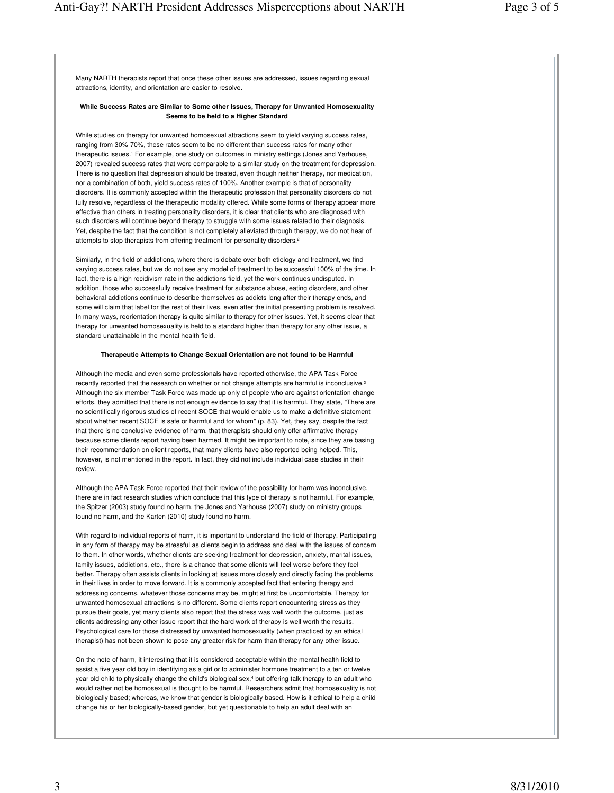Many NARTH therapists report that once these other issues are addressed, issues regarding sexual attractions, identity, and orientation are easier to resolve.

#### **While Success Rates are Similar to Some other Issues, Therapy for Unwanted Homosexuality Seems to be held to a Higher Standard**

While studies on therapy for unwanted homosexual attractions seem to yield varying success rates, ranging from 30%-70%, these rates seem to be no different than success rates for many other therapeutic issues.<sup>1</sup> For example, one study on outcomes in ministry settings (Jones and Yarhouse, 2007) revealed success rates that were comparable to a similar study on the treatment for depression. There is no question that depression should be treated, even though neither therapy, nor medication, nor a combination of both, yield success rates of 100%. Another example is that of personality disorders. It is commonly accepted within the therapeutic profession that personality disorders do not fully resolve, regardless of the therapeutic modality offered. While some forms of therapy appear more effective than others in treating personality disorders, it is clear that clients who are diagnosed with such disorders will continue beyond therapy to struggle with some issues related to their diagnosis. Yet, despite the fact that the condition is not completely alleviated through therapy, we do not hear of attempts to stop therapists from offering treatment for personality disorders.<sup>2</sup>

Similarly, in the field of addictions, where there is debate over both etiology and treatment, we find varying success rates, but we do not see any model of treatment to be successful 100% of the time. In fact, there is a high recidivism rate in the addictions field, yet the work continues undisputed. In addition, those who successfully receive treatment for substance abuse, eating disorders, and other behavioral addictions continue to describe themselves as addicts long after their therapy ends, and some will claim that label for the rest of their lives, even after the initial presenting problem is resolved. In many ways, reorientation therapy is quite similar to therapy for other issues. Yet, it seems clear that therapy for unwanted homosexuality is held to a standard higher than therapy for any other issue, a standard unattainable in the mental health field.

### **Therapeutic Attempts to Change Sexual Orientation are not found to be Harmful**

Although the media and even some professionals have reported otherwise, the APA Task Force recently reported that the research on whether or not change attempts are harmful is inconclusive.<sup>3</sup> Although the six-member Task Force was made up only of people who are against orientation change efforts, they admitted that there is not enough evidence to say that it is harmful. They state, "There are no scientifically rigorous studies of recent SOCE that would enable us to make a definitive statement about whether recent SOCE is safe or harmful and for whom" (p. 83). Yet, they say, despite the fact that there is no conclusive evidence of harm, that therapists should only offer affirmative therapy because some clients report having been harmed. It might be important to note, since they are basing their recommendation on client reports, that many clients have also reported being helped. This, however, is not mentioned in the report. In fact, they did not include individual case studies in their review.

Although the APA Task Force reported that their review of the possibility for harm was inconclusive, there are in fact research studies which conclude that this type of therapy is not harmful. For example, the Spitzer (2003) study found no harm, the Jones and Yarhouse (2007) study on ministry groups found no harm, and the Karten (2010) study found no harm.

With regard to individual reports of harm, it is important to understand the field of therapy. Participating in any form of therapy may be stressful as clients begin to address and deal with the issues of concern to them. In other words, whether clients are seeking treatment for depression, anxiety, marital issues, family issues, addictions, etc., there is a chance that some clients will feel worse before they feel better. Therapy often assists clients in looking at issues more closely and directly facing the problems in their lives in order to move forward. It is a commonly accepted fact that entering therapy and addressing concerns, whatever those concerns may be, might at first be uncomfortable. Therapy for unwanted homosexual attractions is no different. Some clients report encountering stress as they pursue their goals, yet many clients also report that the stress was well worth the outcome, just as clients addressing any other issue report that the hard work of therapy is well worth the results. Psychological care for those distressed by unwanted homosexuality (when practiced by an ethical therapist) has not been shown to pose any greater risk for harm than therapy for any other issue.

On the note of harm, it interesting that it is considered acceptable within the mental health field to assist a five year old boy in identifying as a girl or to administer hormone treatment to a ten or twelve year old child to physically change the child's biological sex,<sup>4</sup> but offering talk therapy to an adult who would rather not be homosexual is thought to be harmful. Researchers admit that homosexuality is not biologically based; whereas, we know that gender is biologically based. How is it ethical to help a child change his or her biologically-based gender, but yet questionable to help an adult deal with an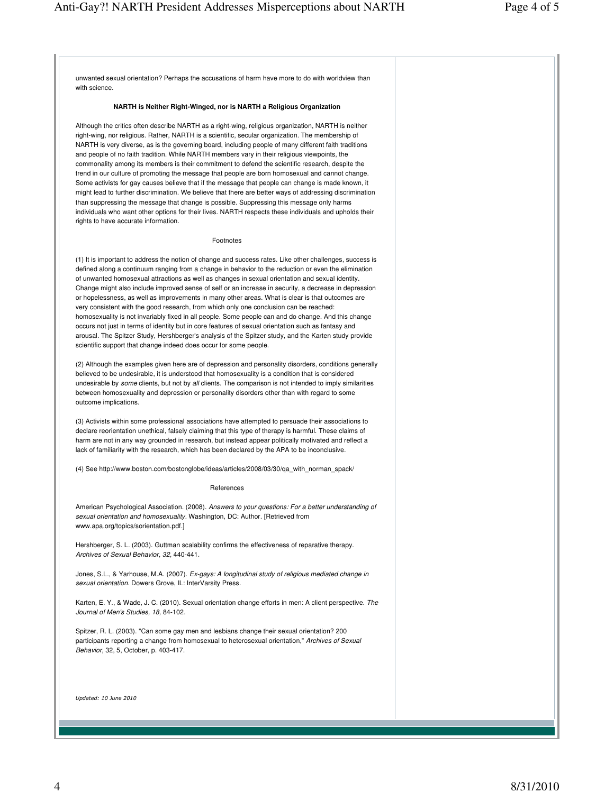unwanted sexual orientation? Perhaps the accusations of harm have more to do with worldview than with science.

## **NARTH is Neither Right-Winged, nor is NARTH a Religious Organization**

Although the critics often describe NARTH as a right-wing, religious organization, NARTH is neither right-wing, nor religious. Rather, NARTH is a scientific, secular organization. The membership of NARTH is very diverse, as is the governing board, including people of many different faith traditions and people of no faith tradition. While NARTH members vary in their religious viewpoints, the commonality among its members is their commitment to defend the scientific research, despite the trend in our culture of promoting the message that people are born homosexual and cannot change. Some activists for gay causes believe that if the message that people can change is made known, it might lead to further discrimination. We believe that there are better ways of addressing discrimination than suppressing the message that change is possible. Suppressing this message only harms individuals who want other options for their lives. NARTH respects these individuals and upholds their rights to have accurate information.

### Footnotes

(1) It is important to address the notion of change and success rates. Like other challenges, success is defined along a continuum ranging from a change in behavior to the reduction or even the elimination of unwanted homosexual attractions as well as changes in sexual orientation and sexual identity. Change might also include improved sense of self or an increase in security, a decrease in depression or hopelessness, as well as improvements in many other areas. What is clear is that outcomes are very consistent with the good research, from which only one conclusion can be reached: homosexuality is not invariably fixed in all people. Some people can and do change. And this change occurs not just in terms of identity but in core features of sexual orientation such as fantasy and arousal. The Spitzer Study, Hershberger's analysis of the Spitzer study, and the Karten study provide scientific support that change indeed does occur for some people.

(2) Although the examples given here are of depression and personality disorders, conditions generally believed to be undesirable, it is understood that homosexuality is a condition that is considered undesirable by some clients, but not by all clients. The comparison is not intended to imply similarities between homosexuality and depression or personality disorders other than with regard to some outcome implications.

(3) Activists within some professional associations have attempted to persuade their associations to declare reorientation unethical, falsely claiming that this type of therapy is harmful. These claims of harm are not in any way grounded in research, but instead appear politically motivated and reflect a lack of familiarity with the research, which has been declared by the APA to be inconclusive.

(4) See http://www.boston.com/bostonglobe/ideas/articles/2008/03/30/qa\_with\_norman\_spack/

## References

American Psychological Association. (2008). Answers to your questions: For a better understanding of sexual orientation and homosexuality. Washington, DC: Author. [Retrieved from www.apa.org/topics/sorientation.pdf.]

Hershberger, S. L. (2003). Guttman scalability confirms the effectiveness of reparative therapy. Archives of Sexual Behavior, 32, 440-441.

Jones, S.L., & Yarhouse, M.A. (2007). Ex-gays: A longitudinal study of religious mediated change in sexual orientation. Dowers Grove, IL: InterVarsity Press.

Karten, E. Y., & Wade, J. C. (2010). Sexual orientation change efforts in men: A client perspective. The Journal of Men's Studies, 18, 84-102.

Spitzer, R. L. (2003). "Can some gay men and lesbians change their sexual orientation? 200 participants reporting a change from homosexual to heterosexual orientation," Archives of Sexual Behavior, 32, 5, October, p. 403-417.

Updated: 10 June 2010